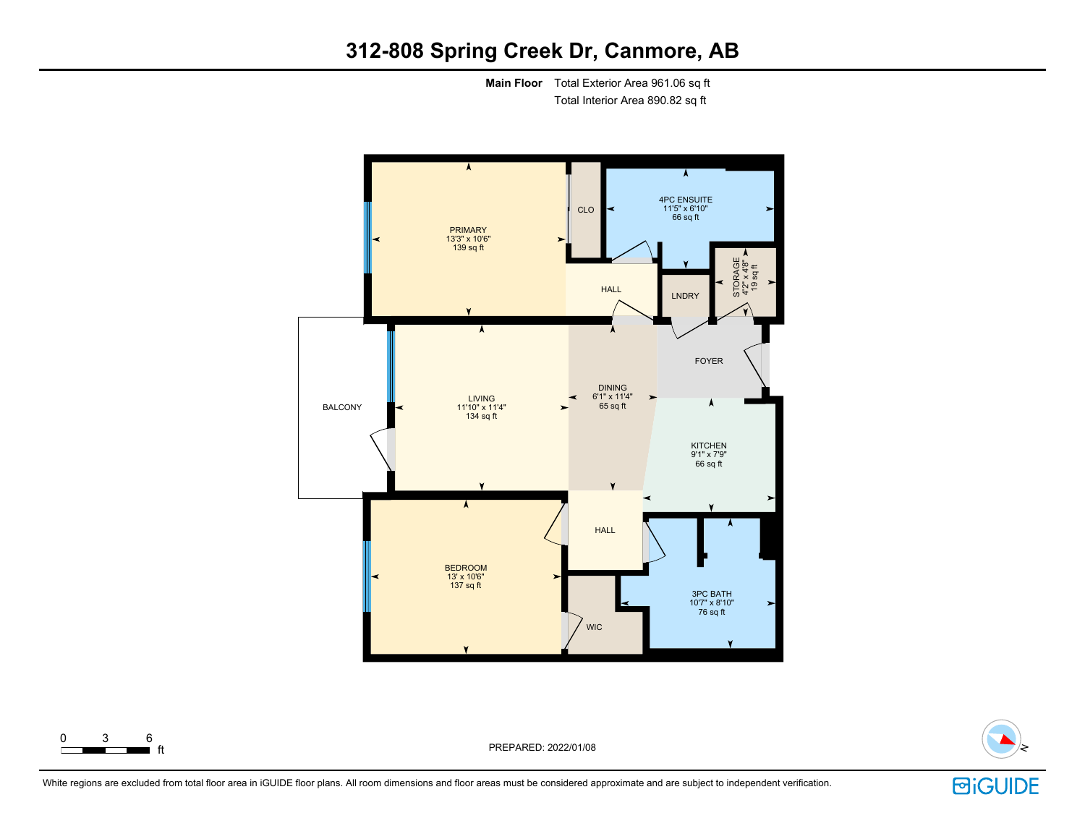## **312-808 Spring Creek Dr, Canmore, AB**

**Main Floor** Total Exterior Area 961.06 sq ft Total Interior Area 890.82 sq ft







 $\begin{array}{ccc} 0 & 3 & 6 \\ \hline \end{array}$  ft

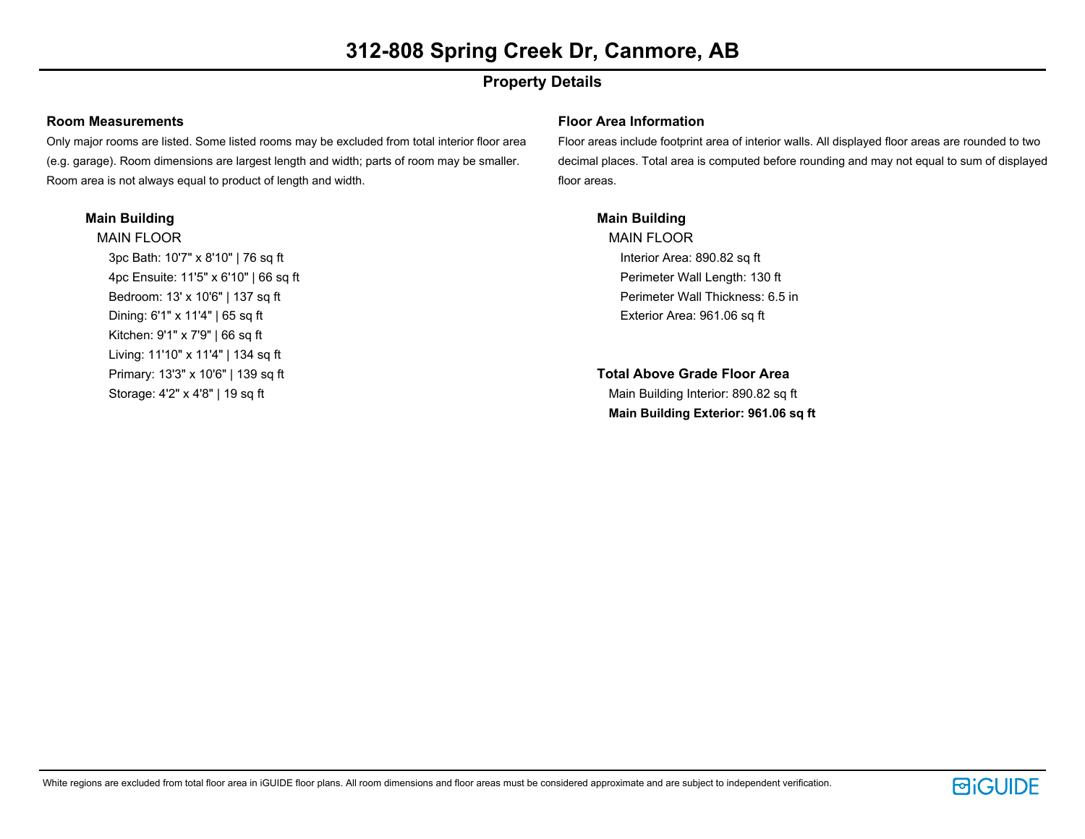## **Property Details**

### **Room Measurements**

Only major rooms are listed. Some listed rooms may be excluded from total interior floor area (e.g. garage). Room dimensions are largest length and width; parts of room may be smaller. Room area is not always equal to product of length and width.

## **Main Building**

MAIN FLOOR 3pc Bath: 10'7" x 8'10" | 76 sq ft 4pc Ensuite: 11'5" x 6'10" | 66 sq ft Bedroom: 13' x 10'6" | 137 sq ft Dining: 6'1" x 11'4" | 65 sq ft Kitchen: 9'1" x 7'9" | 66 sq ft Living: 11'10" x 11'4" | 134 sq ft Primary: 13'3" x 10'6" | 139 sq ft Storage: 4'2" x 4'8" | 19 sq ft

## **Floor Area Information**

Floor areas include footprint area of interior walls. All displayed floor areas are rounded to two decimal places. Total area is computed before rounding and may not equal to sum of displayed floor areas.

## **Main Building**

MAIN FLOOR Interior Area: 890.82 sq ft Perimeter Wall Length: 130 ft Perimeter Wall Thickness: 6.5 in Exterior Area: 961.06 sq ft

**Total Above Grade Floor Area** Main Building Interior: 890.82 sq ft **Main Building Exterior: 961.06 sq ft**

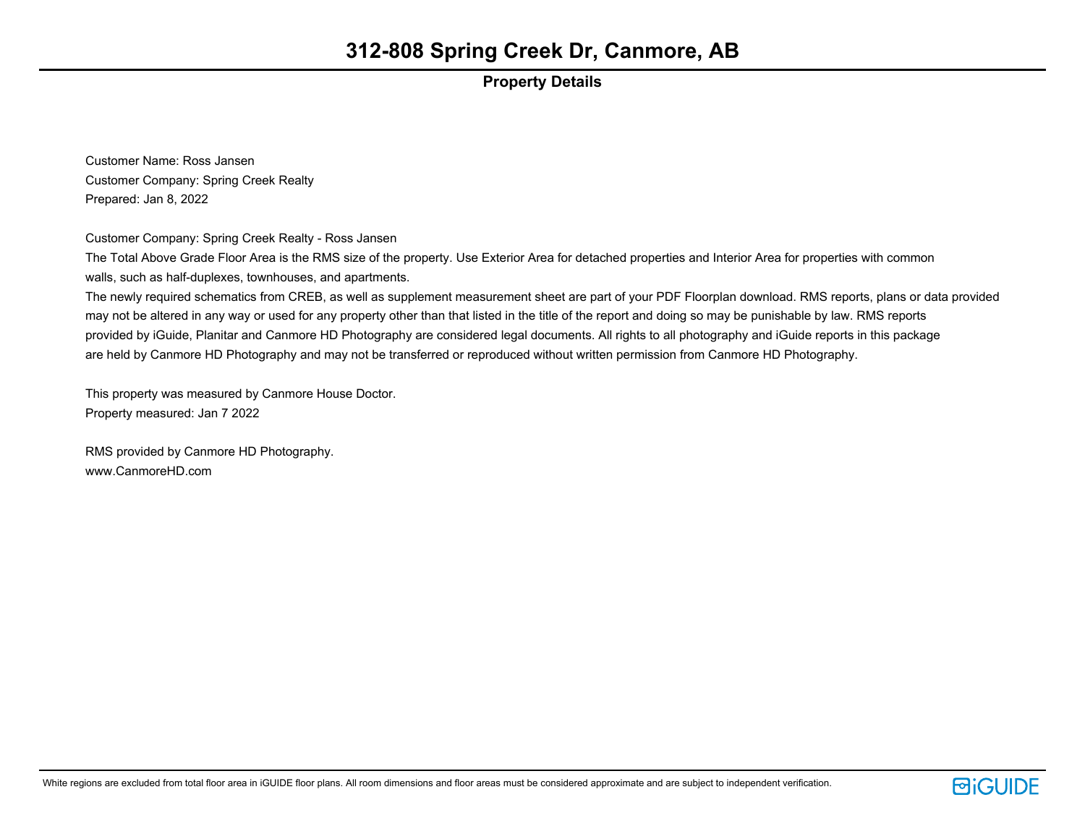## **Property Details**

Customer Name: Ross Jansen Customer Company: Spring Creek Realty Prepared: Jan 8, 2022

Customer Company: Spring Creek Realty - Ross Jansen

The Total Above Grade Floor Area is the RMS size of the property. Use Exterior Area for detached properties and Interior Area for properties with common walls, such as half-duplexes, townhouses, and apartments.

The newly required schematics from CREB, as well as supplement measurement sheet are part of your PDF Floorplan download. RMS reports, plans or data provided may not be altered in any way or used for any property other than that listed in the title of the report and doing so may be punishable by law. RMS reports provided by iGuide, Planitar and Canmore HD Photography are considered legal documents. All rights to all photography and iGuide reports in this package are held by Canmore HD Photography and may not be transferred or reproduced without written permission from Canmore HD Photography.

This property was measured by Canmore House Doctor. Property measured: Jan 7 2022

RMS provided by Canmore HD Photography. www.CanmoreHD.com

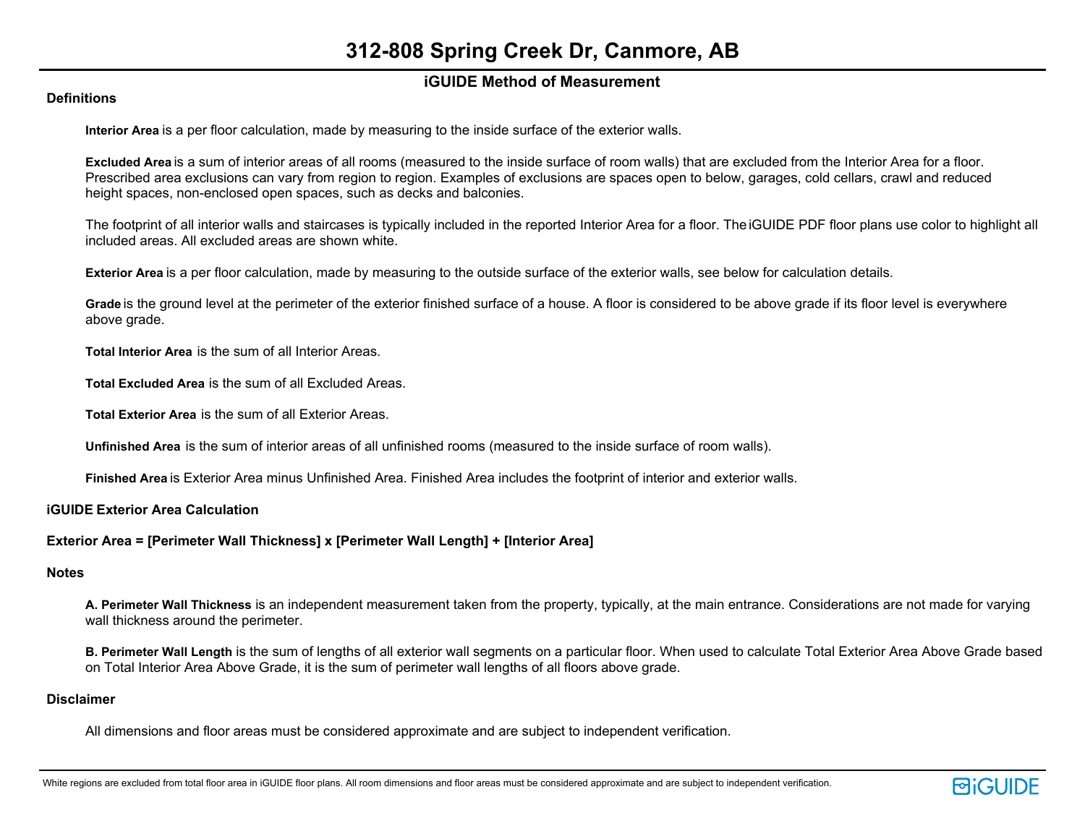## **iGUIDE Method of Measurement**

### **Definitions**

**Interior Area** is a per floor calculation, made by measuring to the inside surface of the exterior walls.

**Excluded Area** is a sum of interior areas of all rooms (measured to the inside surface of room walls) that are excluded from the Interior Area for a floor. Prescribed area exclusions can vary from region to region. Examples of exclusions are spaces open to below, garages, cold cellars, crawl and reduced height spaces, non-enclosed open spaces, such as decks and balconies.

The footprint of all interior walls and staircases is typically included in the reported Interior Area for a floor. The iGUIDE PDF floor plans use color to highlight all included areas. All excluded areas are shown white.

**Exterior Area** is a per floor calculation, made by measuring to the outside surface of the exterior walls, see below for calculation details.

**Grade** is the ground level at the perimeter of the exterior finished surface of a house. A floor is considered to be above grade if its floor level is everywhere above grade.

**Total Interior Area** is the sum of all Interior Areas.

**Total Excluded Area** is the sum of all Excluded Areas.

**Total Exterior Area** is the sum of all Exterior Areas.

**Unfinished Area** is the sum of interior areas of all unfinished rooms (measured to the inside surface of room walls).

**Finished Area** is Exterior Area minus Unfinished Area. Finished Area includes the footprint of interior and exterior walls.

#### **iGUIDE Exterior Area Calculation**

#### **Exterior Area = [Perimeter Wall Thickness] x [Perimeter Wall Length] + [Interior Area]**

## **Notes**

**A. Perimeter Wall Thickness** is an independent measurement taken from the property, typically, at the main entrance. Considerations are not made for varying wall thickness around the perimeter.

**B. Perimeter Wall Length** is the sum of lengths of all exterior wall segments on a particular floor. When used to calculate Total Exterior Area Above Grade based on Total Interior Area Above Grade, it is the sum of perimeter wall lengths of all floors above grade.

#### **Disclaimer**

All dimensions and floor areas must be considered approximate and are subject to independent verification.